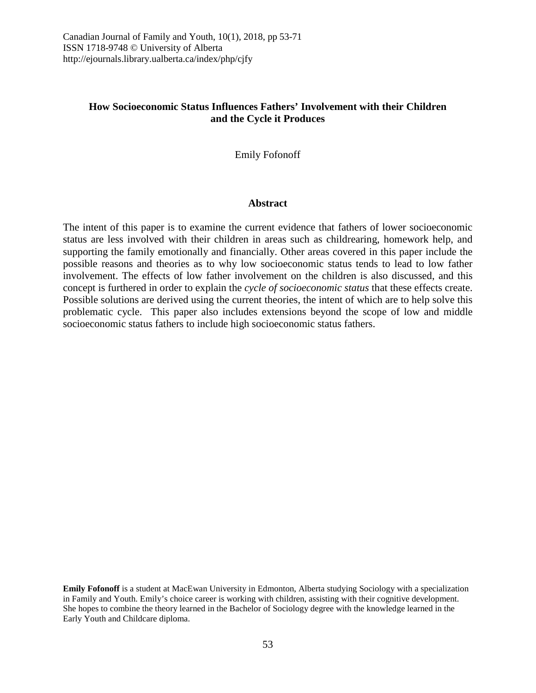# **How Socioeconomic Status Influences Fathers' Involvement with their Children and the Cycle it Produces**

Emily Fofonoff

#### **Abstract**

The intent of this paper is to examine the current evidence that fathers of lower socioeconomic status are less involved with their children in areas such as childrearing, homework help, and supporting the family emotionally and financially. Other areas covered in this paper include the possible reasons and theories as to why low socioeconomic status tends to lead to low father involvement. The effects of low father involvement on the children is also discussed, and this concept is furthered in order to explain the *cycle of socioeconomic status* that these effects create. Possible solutions are derived using the current theories, the intent of which are to help solve this problematic cycle. This paper also includes extensions beyond the scope of low and middle socioeconomic status fathers to include high socioeconomic status fathers.

**Emily Fofonoff** is a student at MacEwan University in Edmonton, Alberta studying Sociology with a specialization in Family and Youth. Emily's choice career is working with children, assisting with their cognitive development. She hopes to combine the theory learned in the Bachelor of Sociology degree with the knowledge learned in the Early Youth and Childcare diploma.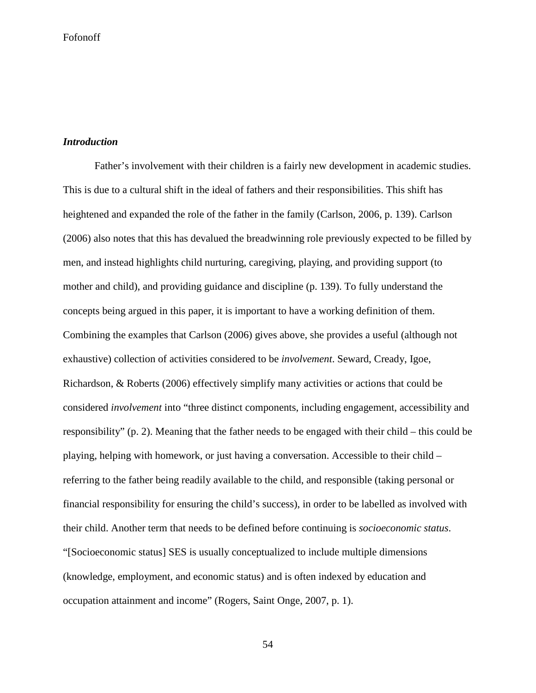## *Introduction*

Father's involvement with their children is a fairly new development in academic studies. This is due to a cultural shift in the ideal of fathers and their responsibilities. This shift has heightened and expanded the role of the father in the family (Carlson, 2006, p. 139). Carlson (2006) also notes that this has devalued the breadwinning role previously expected to be filled by men, and instead highlights child nurturing, caregiving, playing, and providing support (to mother and child), and providing guidance and discipline (p. 139). To fully understand the concepts being argued in this paper, it is important to have a working definition of them. Combining the examples that Carlson (2006) gives above, she provides a useful (although not exhaustive) collection of activities considered to be *involvement*. Seward, Cready, Igoe, Richardson, & Roberts (2006) effectively simplify many activities or actions that could be considered *involvement* into "three distinct components, including engagement, accessibility and responsibility" (p. 2). Meaning that the father needs to be engaged with their child – this could be playing, helping with homework, or just having a conversation. Accessible to their child – referring to the father being readily available to the child, and responsible (taking personal or financial responsibility for ensuring the child's success), in order to be labelled as involved with their child. Another term that needs to be defined before continuing is *socioeconomic status*. "[Socioeconomic status] SES is usually conceptualized to include multiple dimensions (knowledge, employment, and economic status) and is often indexed by education and occupation attainment and income" (Rogers, Saint Onge, 2007, p. 1).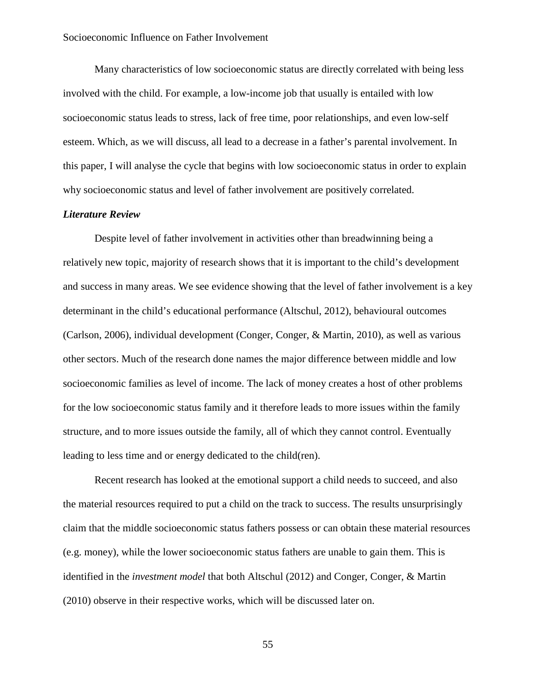Many characteristics of low socioeconomic status are directly correlated with being less involved with the child. For example, a low-income job that usually is entailed with low socioeconomic status leads to stress, lack of free time, poor relationships, and even low-self esteem. Which, as we will discuss, all lead to a decrease in a father's parental involvement. In this paper, I will analyse the cycle that begins with low socioeconomic status in order to explain why socioeconomic status and level of father involvement are positively correlated.

# *Literature Review*

Despite level of father involvement in activities other than breadwinning being a relatively new topic, majority of research shows that it is important to the child's development and success in many areas. We see evidence showing that the level of father involvement is a key determinant in the child's educational performance (Altschul, 2012), behavioural outcomes (Carlson, 2006), individual development (Conger, Conger, & Martin, 2010), as well as various other sectors. Much of the research done names the major difference between middle and low socioeconomic families as level of income. The lack of money creates a host of other problems for the low socioeconomic status family and it therefore leads to more issues within the family structure, and to more issues outside the family, all of which they cannot control. Eventually leading to less time and or energy dedicated to the child(ren).

Recent research has looked at the emotional support a child needs to succeed, and also the material resources required to put a child on the track to success. The results unsurprisingly claim that the middle socioeconomic status fathers possess or can obtain these material resources (e.g. money), while the lower socioeconomic status fathers are unable to gain them. This is identified in the *investment model* that both Altschul (2012) and Conger, Conger, & Martin (2010) observe in their respective works, which will be discussed later on.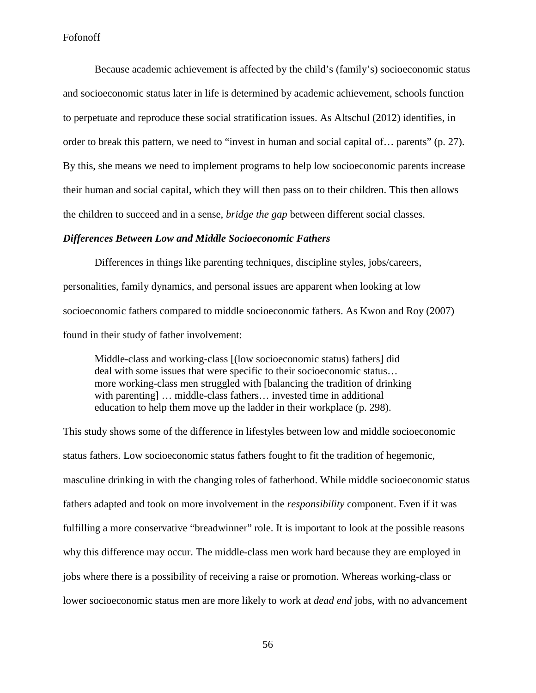Because academic achievement is affected by the child's (family's) socioeconomic status and socioeconomic status later in life is determined by academic achievement, schools function to perpetuate and reproduce these social stratification issues. As Altschul (2012) identifies, in order to break this pattern, we need to "invest in human and social capital of… parents" (p. 27). By this, she means we need to implement programs to help low socioeconomic parents increase their human and social capital, which they will then pass on to their children. This then allows the children to succeed and in a sense, *bridge the gap* between different social classes.

### *Differences Between Low and Middle Socioeconomic Fathers*

Differences in things like parenting techniques, discipline styles, jobs/careers, personalities, family dynamics, and personal issues are apparent when looking at low socioeconomic fathers compared to middle socioeconomic fathers. As Kwon and Roy (2007) found in their study of father involvement:

Middle-class and working-class [(low socioeconomic status) fathers] did deal with some issues that were specific to their socioeconomic status… more working-class men struggled with [balancing the tradition of drinking with parenting] ... middle-class fathers... invested time in additional education to help them move up the ladder in their workplace (p. 298).

This study shows some of the difference in lifestyles between low and middle socioeconomic status fathers. Low socioeconomic status fathers fought to fit the tradition of hegemonic, masculine drinking in with the changing roles of fatherhood. While middle socioeconomic status fathers adapted and took on more involvement in the *responsibility* component. Even if it was fulfilling a more conservative "breadwinner" role. It is important to look at the possible reasons why this difference may occur. The middle-class men work hard because they are employed in jobs where there is a possibility of receiving a raise or promotion. Whereas working-class or lower socioeconomic status men are more likely to work at *dead end* jobs, with no advancement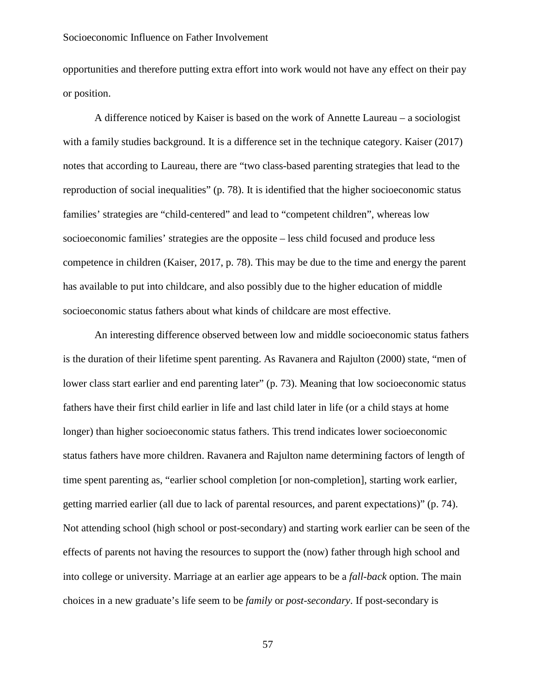opportunities and therefore putting extra effort into work would not have any effect on their pay or position.

A difference noticed by Kaiser is based on the work of Annette Laureau – a sociologist with a family studies background. It is a difference set in the technique category. Kaiser (2017) notes that according to Laureau, there are "two class-based parenting strategies that lead to the reproduction of social inequalities" (p. 78). It is identified that the higher socioeconomic status families' strategies are "child-centered" and lead to "competent children", whereas low socioeconomic families' strategies are the opposite – less child focused and produce less competence in children (Kaiser, 2017, p. 78). This may be due to the time and energy the parent has available to put into childcare, and also possibly due to the higher education of middle socioeconomic status fathers about what kinds of childcare are most effective.

An interesting difference observed between low and middle socioeconomic status fathers is the duration of their lifetime spent parenting. As Ravanera and Rajulton (2000) state, "men of lower class start earlier and end parenting later" (p. 73). Meaning that low socioeconomic status fathers have their first child earlier in life and last child later in life (or a child stays at home longer) than higher socioeconomic status fathers. This trend indicates lower socioeconomic status fathers have more children. Ravanera and Rajulton name determining factors of length of time spent parenting as, "earlier school completion [or non-completion], starting work earlier, getting married earlier (all due to lack of parental resources, and parent expectations)" (p. 74). Not attending school (high school or post-secondary) and starting work earlier can be seen of the effects of parents not having the resources to support the (now) father through high school and into college or university. Marriage at an earlier age appears to be a *fall-back* option. The main choices in a new graduate's life seem to be *family* or *post-secondary*. If post-secondary is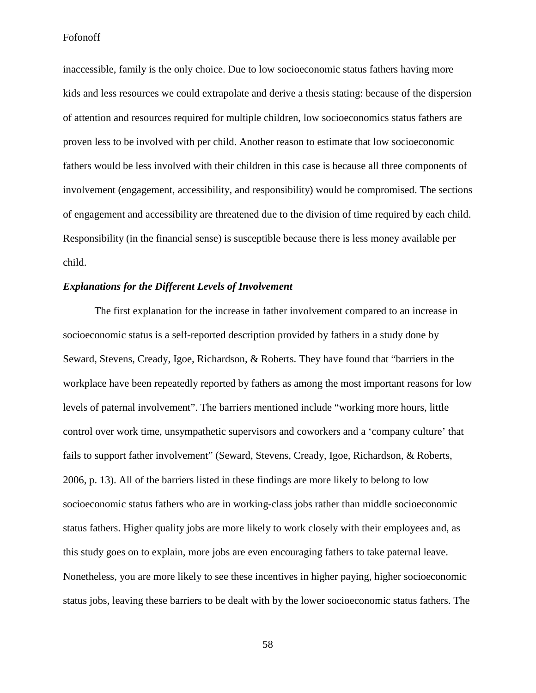inaccessible, family is the only choice. Due to low socioeconomic status fathers having more kids and less resources we could extrapolate and derive a thesis stating: because of the dispersion of attention and resources required for multiple children, low socioeconomics status fathers are proven less to be involved with per child. Another reason to estimate that low socioeconomic fathers would be less involved with their children in this case is because all three components of involvement (engagement, accessibility, and responsibility) would be compromised. The sections of engagement and accessibility are threatened due to the division of time required by each child. Responsibility (in the financial sense) is susceptible because there is less money available per child.

# *Explanations for the Different Levels of Involvement*

The first explanation for the increase in father involvement compared to an increase in socioeconomic status is a self-reported description provided by fathers in a study done by Seward, Stevens, Cready, Igoe, Richardson, & Roberts. They have found that "barriers in the workplace have been repeatedly reported by fathers as among the most important reasons for low levels of paternal involvement". The barriers mentioned include "working more hours, little control over work time, unsympathetic supervisors and coworkers and a 'company culture' that fails to support father involvement" (Seward, Stevens, Cready, Igoe, Richardson, & Roberts, 2006, p. 13). All of the barriers listed in these findings are more likely to belong to low socioeconomic status fathers who are in working-class jobs rather than middle socioeconomic status fathers. Higher quality jobs are more likely to work closely with their employees and, as this study goes on to explain, more jobs are even encouraging fathers to take paternal leave. Nonetheless, you are more likely to see these incentives in higher paying, higher socioeconomic status jobs, leaving these barriers to be dealt with by the lower socioeconomic status fathers. The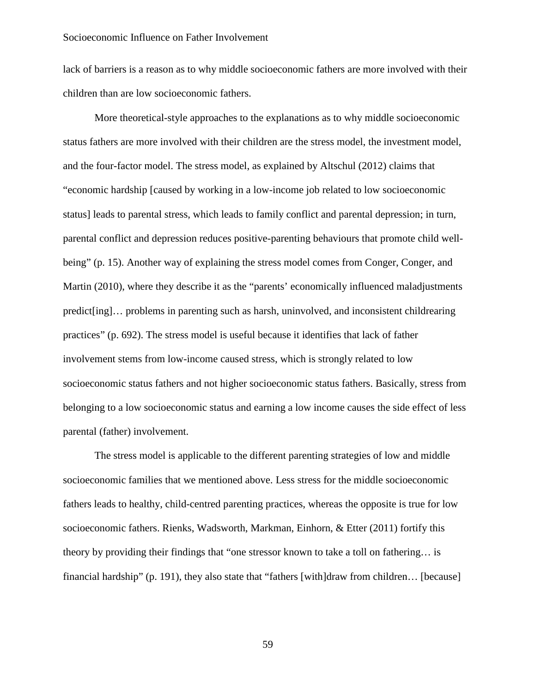lack of barriers is a reason as to why middle socioeconomic fathers are more involved with their children than are low socioeconomic fathers.

More theoretical-style approaches to the explanations as to why middle socioeconomic status fathers are more involved with their children are the stress model, the investment model, and the four-factor model. The stress model, as explained by Altschul (2012) claims that "economic hardship [caused by working in a low-income job related to low socioeconomic status] leads to parental stress, which leads to family conflict and parental depression; in turn, parental conflict and depression reduces positive-parenting behaviours that promote child wellbeing" (p. 15). Another way of explaining the stress model comes from Conger, Conger, and Martin (2010), where they describe it as the "parents' economically influenced maladjustments predict[ing]… problems in parenting such as harsh, uninvolved, and inconsistent childrearing practices" (p. 692). The stress model is useful because it identifies that lack of father involvement stems from low-income caused stress, which is strongly related to low socioeconomic status fathers and not higher socioeconomic status fathers. Basically, stress from belonging to a low socioeconomic status and earning a low income causes the side effect of less parental (father) involvement.

The stress model is applicable to the different parenting strategies of low and middle socioeconomic families that we mentioned above. Less stress for the middle socioeconomic fathers leads to healthy, child-centred parenting practices, whereas the opposite is true for low socioeconomic fathers. Rienks, Wadsworth, Markman, Einhorn, & Etter (2011) fortify this theory by providing their findings that "one stressor known to take a toll on fathering… is financial hardship" (p. 191), they also state that "fathers [with]draw from children… [because]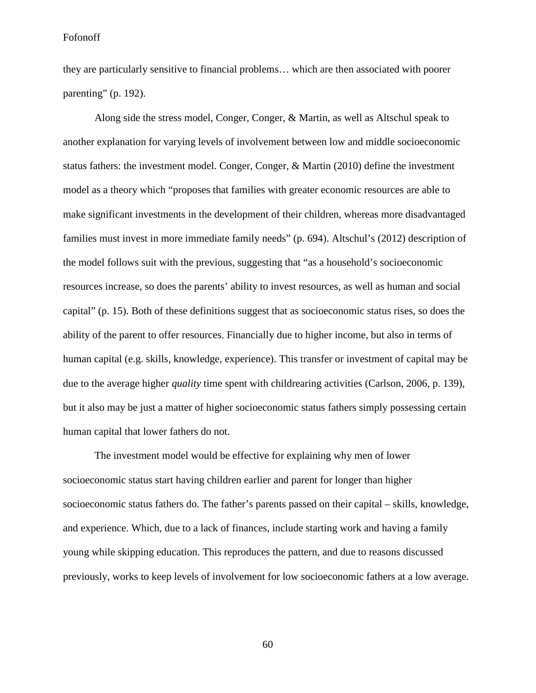they are particularly sensitive to financial problems… which are then associated with poorer parenting" (p. 192).

Along side the stress model, Conger, Conger, & Martin, as well as Altschul speak to another explanation for varying levels of involvement between low and middle socioeconomic status fathers: the investment model. Conger, Conger, & Martin (2010) define the investment model as a theory which "proposes that families with greater economic resources are able to make significant investments in the development of their children, whereas more disadvantaged families must invest in more immediate family needs" (p. 694). Altschul's (2012) description of the model follows suit with the previous, suggesting that "as a household's socioeconomic resources increase, so does the parents' ability to invest resources, as well as human and social capital" (p. 15). Both of these definitions suggest that as socioeconomic status rises, so does the ability of the parent to offer resources. Financially due to higher income, but also in terms of human capital (e.g. skills, knowledge, experience). This transfer or investment of capital may be due to the average higher *quality* time spent with childrearing activities (Carlson, 2006, p. 139), but it also may be just a matter of higher socioeconomic status fathers simply possessing certain human capital that lower fathers do not.

The investment model would be effective for explaining why men of lower socioeconomic status start having children earlier and parent for longer than higher socioeconomic status fathers do. The father's parents passed on their capital – skills, knowledge, and experience. Which, due to a lack of finances, include starting work and having a family young while skipping education. This reproduces the pattern, and due to reasons discussed previously, works to keep levels of involvement for low socioeconomic fathers at a low average.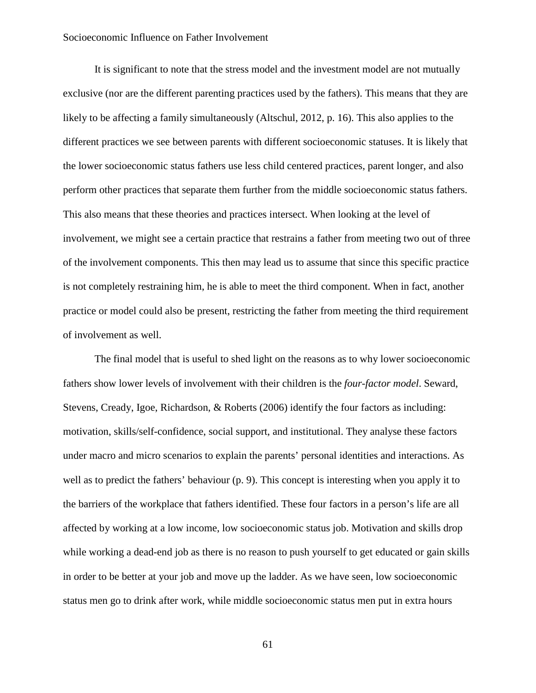It is significant to note that the stress model and the investment model are not mutually exclusive (nor are the different parenting practices used by the fathers). This means that they are likely to be affecting a family simultaneously (Altschul, 2012, p. 16). This also applies to the different practices we see between parents with different socioeconomic statuses. It is likely that the lower socioeconomic status fathers use less child centered practices, parent longer, and also perform other practices that separate them further from the middle socioeconomic status fathers. This also means that these theories and practices intersect. When looking at the level of involvement, we might see a certain practice that restrains a father from meeting two out of three of the involvement components. This then may lead us to assume that since this specific practice is not completely restraining him, he is able to meet the third component. When in fact, another practice or model could also be present, restricting the father from meeting the third requirement of involvement as well.

The final model that is useful to shed light on the reasons as to why lower socioeconomic fathers show lower levels of involvement with their children is the *four-factor model*. Seward, Stevens, Cready, Igoe, Richardson, & Roberts (2006) identify the four factors as including: motivation, skills/self-confidence, social support, and institutional. They analyse these factors under macro and micro scenarios to explain the parents' personal identities and interactions. As well as to predict the fathers' behaviour (p. 9). This concept is interesting when you apply it to the barriers of the workplace that fathers identified. These four factors in a person's life are all affected by working at a low income, low socioeconomic status job. Motivation and skills drop while working a dead-end job as there is no reason to push yourself to get educated or gain skills in order to be better at your job and move up the ladder. As we have seen, low socioeconomic status men go to drink after work, while middle socioeconomic status men put in extra hours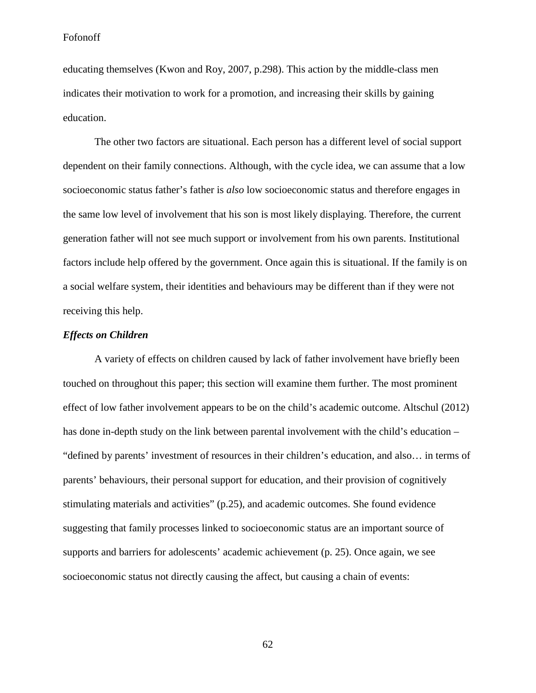educating themselves (Kwon and Roy, 2007, p.298). This action by the middle-class men indicates their motivation to work for a promotion, and increasing their skills by gaining education.

The other two factors are situational. Each person has a different level of social support dependent on their family connections. Although, with the cycle idea, we can assume that a low socioeconomic status father's father is *also* low socioeconomic status and therefore engages in the same low level of involvement that his son is most likely displaying. Therefore, the current generation father will not see much support or involvement from his own parents. Institutional factors include help offered by the government. Once again this is situational. If the family is on a social welfare system, their identities and behaviours may be different than if they were not receiving this help.

## *Effects on Children*

A variety of effects on children caused by lack of father involvement have briefly been touched on throughout this paper; this section will examine them further. The most prominent effect of low father involvement appears to be on the child's academic outcome. Altschul (2012) has done in-depth study on the link between parental involvement with the child's education – "defined by parents' investment of resources in their children's education, and also… in terms of parents' behaviours, their personal support for education, and their provision of cognitively stimulating materials and activities" (p.25), and academic outcomes. She found evidence suggesting that family processes linked to socioeconomic status are an important source of supports and barriers for adolescents' academic achievement (p. 25). Once again, we see socioeconomic status not directly causing the affect, but causing a chain of events: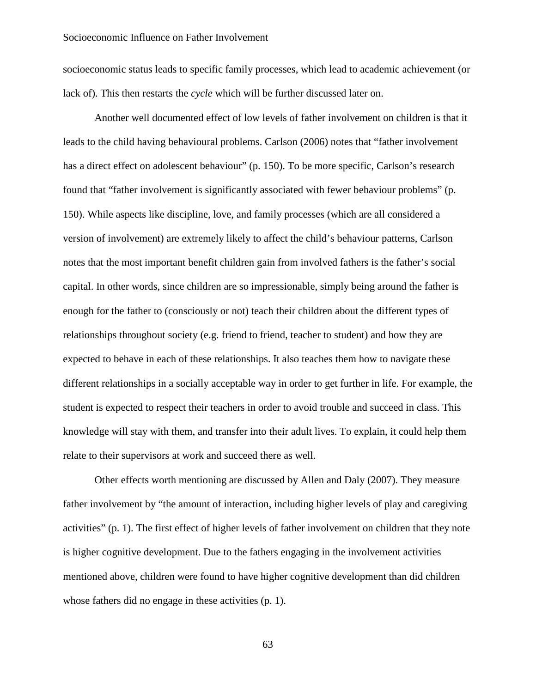socioeconomic status leads to specific family processes, which lead to academic achievement (or lack of). This then restarts the *cycle* which will be further discussed later on.

Another well documented effect of low levels of father involvement on children is that it leads to the child having behavioural problems. Carlson (2006) notes that "father involvement has a direct effect on adolescent behaviour" (p. 150). To be more specific, Carlson's research found that "father involvement is significantly associated with fewer behaviour problems" (p. 150). While aspects like discipline, love, and family processes (which are all considered a version of involvement) are extremely likely to affect the child's behaviour patterns, Carlson notes that the most important benefit children gain from involved fathers is the father's social capital. In other words, since children are so impressionable, simply being around the father is enough for the father to (consciously or not) teach their children about the different types of relationships throughout society (e.g. friend to friend, teacher to student) and how they are expected to behave in each of these relationships. It also teaches them how to navigate these different relationships in a socially acceptable way in order to get further in life. For example, the student is expected to respect their teachers in order to avoid trouble and succeed in class. This knowledge will stay with them, and transfer into their adult lives. To explain, it could help them relate to their supervisors at work and succeed there as well.

Other effects worth mentioning are discussed by Allen and Daly (2007). They measure father involvement by "the amount of interaction, including higher levels of play and caregiving activities" (p. 1). The first effect of higher levels of father involvement on children that they note is higher cognitive development. Due to the fathers engaging in the involvement activities mentioned above, children were found to have higher cognitive development than did children whose fathers did no engage in these activities (p. 1).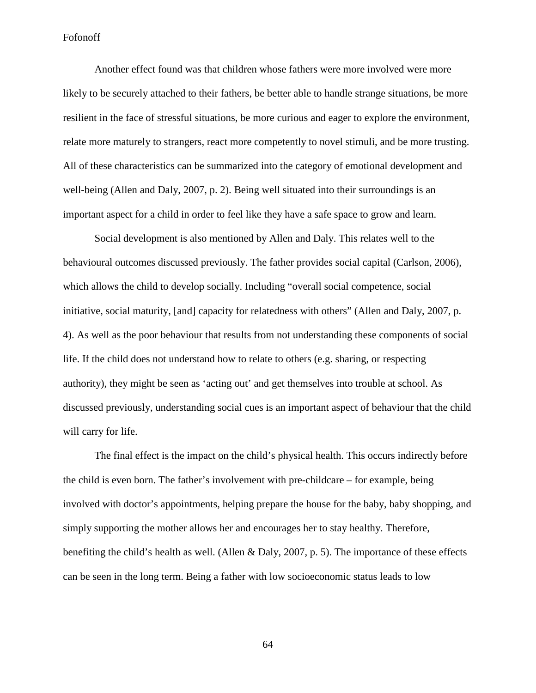Another effect found was that children whose fathers were more involved were more likely to be securely attached to their fathers, be better able to handle strange situations, be more resilient in the face of stressful situations, be more curious and eager to explore the environment, relate more maturely to strangers, react more competently to novel stimuli, and be more trusting. All of these characteristics can be summarized into the category of emotional development and well-being (Allen and Daly, 2007, p. 2). Being well situated into their surroundings is an important aspect for a child in order to feel like they have a safe space to grow and learn.

Social development is also mentioned by Allen and Daly. This relates well to the behavioural outcomes discussed previously. The father provides social capital (Carlson, 2006), which allows the child to develop socially. Including "overall social competence, social initiative, social maturity, [and] capacity for relatedness with others" (Allen and Daly, 2007, p. 4). As well as the poor behaviour that results from not understanding these components of social life. If the child does not understand how to relate to others (e.g. sharing, or respecting authority), they might be seen as 'acting out' and get themselves into trouble at school. As discussed previously, understanding social cues is an important aspect of behaviour that the child will carry for life.

The final effect is the impact on the child's physical health. This occurs indirectly before the child is even born. The father's involvement with pre-childcare – for example, being involved with doctor's appointments, helping prepare the house for the baby, baby shopping, and simply supporting the mother allows her and encourages her to stay healthy. Therefore, benefiting the child's health as well. (Allen & Daly, 2007, p. 5). The importance of these effects can be seen in the long term. Being a father with low socioeconomic status leads to low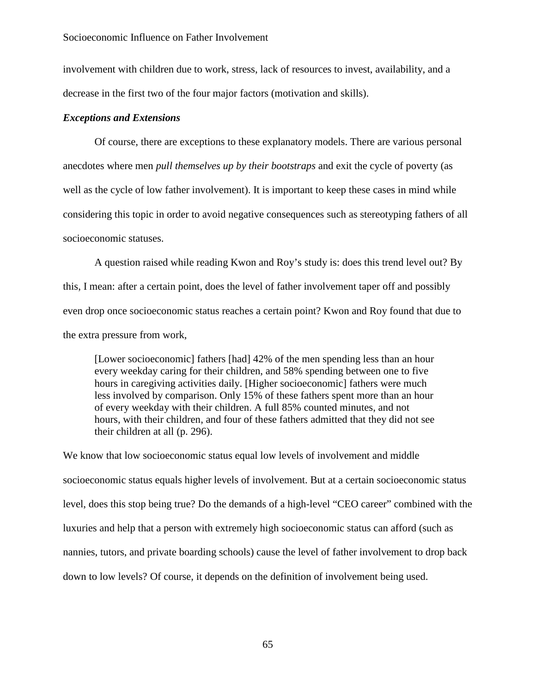involvement with children due to work, stress, lack of resources to invest, availability, and a decrease in the first two of the four major factors (motivation and skills).

## *Exceptions and Extensions*

Of course, there are exceptions to these explanatory models. There are various personal anecdotes where men *pull themselves up by their bootstraps* and exit the cycle of poverty (as well as the cycle of low father involvement). It is important to keep these cases in mind while considering this topic in order to avoid negative consequences such as stereotyping fathers of all socioeconomic statuses.

A question raised while reading Kwon and Roy's study is: does this trend level out? By this, I mean: after a certain point, does the level of father involvement taper off and possibly even drop once socioeconomic status reaches a certain point? Kwon and Roy found that due to the extra pressure from work,

[Lower socioeconomic] fathers [had] 42% of the men spending less than an hour every weekday caring for their children, and 58% spending between one to five hours in caregiving activities daily. [Higher socioeconomic] fathers were much less involved by comparison. Only 15% of these fathers spent more than an hour of every weekday with their children. A full 85% counted minutes, and not hours, with their children, and four of these fathers admitted that they did not see their children at all (p. 296).

We know that low socioeconomic status equal low levels of involvement and middle socioeconomic status equals higher levels of involvement. But at a certain socioeconomic status level, does this stop being true? Do the demands of a high-level "CEO career" combined with the luxuries and help that a person with extremely high socioeconomic status can afford (such as nannies, tutors, and private boarding schools) cause the level of father involvement to drop back down to low levels? Of course, it depends on the definition of involvement being used.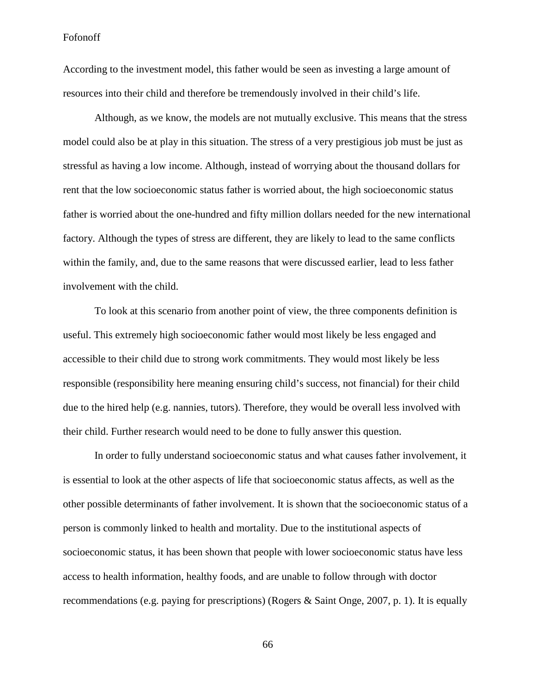According to the investment model, this father would be seen as investing a large amount of resources into their child and therefore be tremendously involved in their child's life.

Although, as we know, the models are not mutually exclusive. This means that the stress model could also be at play in this situation. The stress of a very prestigious job must be just as stressful as having a low income. Although, instead of worrying about the thousand dollars for rent that the low socioeconomic status father is worried about, the high socioeconomic status father is worried about the one-hundred and fifty million dollars needed for the new international factory. Although the types of stress are different, they are likely to lead to the same conflicts within the family, and, due to the same reasons that were discussed earlier, lead to less father involvement with the child.

To look at this scenario from another point of view, the three components definition is useful. This extremely high socioeconomic father would most likely be less engaged and accessible to their child due to strong work commitments. They would most likely be less responsible (responsibility here meaning ensuring child's success, not financial) for their child due to the hired help (e.g. nannies, tutors). Therefore, they would be overall less involved with their child. Further research would need to be done to fully answer this question.

In order to fully understand socioeconomic status and what causes father involvement, it is essential to look at the other aspects of life that socioeconomic status affects, as well as the other possible determinants of father involvement. It is shown that the socioeconomic status of a person is commonly linked to health and mortality. Due to the institutional aspects of socioeconomic status, it has been shown that people with lower socioeconomic status have less access to health information, healthy foods, and are unable to follow through with doctor recommendations (e.g. paying for prescriptions) (Rogers & Saint Onge, 2007, p. 1). It is equally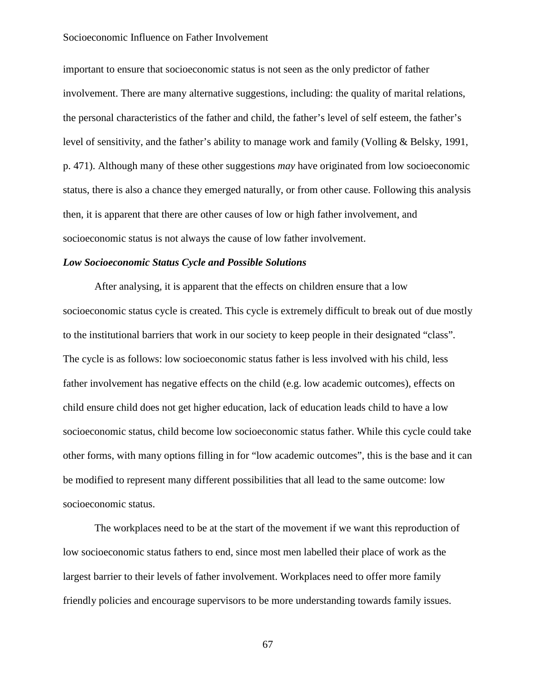important to ensure that socioeconomic status is not seen as the only predictor of father involvement. There are many alternative suggestions, including: the quality of marital relations, the personal characteristics of the father and child, the father's level of self esteem, the father's level of sensitivity, and the father's ability to manage work and family (Volling & Belsky, 1991, p. 471). Although many of these other suggestions *may* have originated from low socioeconomic status, there is also a chance they emerged naturally, or from other cause. Following this analysis then, it is apparent that there are other causes of low or high father involvement, and socioeconomic status is not always the cause of low father involvement.

### *Low Socioeconomic Status Cycle and Possible Solutions*

After analysing, it is apparent that the effects on children ensure that a low socioeconomic status cycle is created. This cycle is extremely difficult to break out of due mostly to the institutional barriers that work in our society to keep people in their designated "class". The cycle is as follows: low socioeconomic status father is less involved with his child, less father involvement has negative effects on the child (e.g. low academic outcomes), effects on child ensure child does not get higher education, lack of education leads child to have a low socioeconomic status, child become low socioeconomic status father. While this cycle could take other forms, with many options filling in for "low academic outcomes", this is the base and it can be modified to represent many different possibilities that all lead to the same outcome: low socioeconomic status.

The workplaces need to be at the start of the movement if we want this reproduction of low socioeconomic status fathers to end, since most men labelled their place of work as the largest barrier to their levels of father involvement. Workplaces need to offer more family friendly policies and encourage supervisors to be more understanding towards family issues.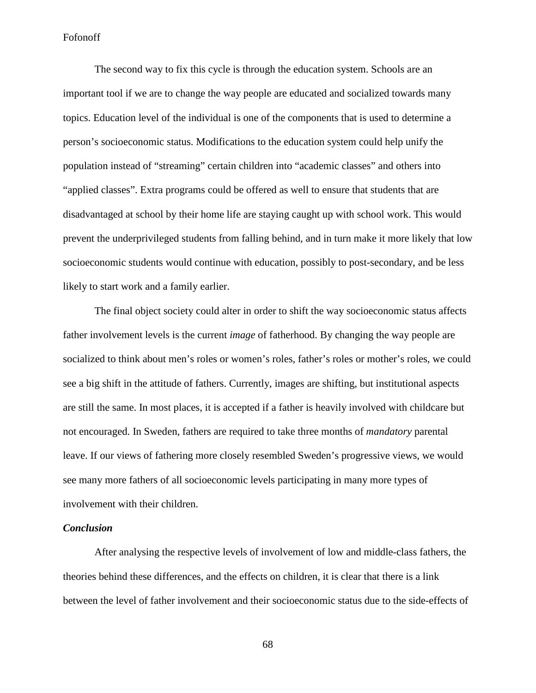The second way to fix this cycle is through the education system. Schools are an important tool if we are to change the way people are educated and socialized towards many topics. Education level of the individual is one of the components that is used to determine a person's socioeconomic status. Modifications to the education system could help unify the population instead of "streaming" certain children into "academic classes" and others into "applied classes". Extra programs could be offered as well to ensure that students that are disadvantaged at school by their home life are staying caught up with school work. This would prevent the underprivileged students from falling behind, and in turn make it more likely that low socioeconomic students would continue with education, possibly to post-secondary, and be less likely to start work and a family earlier.

The final object society could alter in order to shift the way socioeconomic status affects father involvement levels is the current *image* of fatherhood. By changing the way people are socialized to think about men's roles or women's roles, father's roles or mother's roles, we could see a big shift in the attitude of fathers. Currently, images are shifting, but institutional aspects are still the same. In most places, it is accepted if a father is heavily involved with childcare but not encouraged. In Sweden, fathers are required to take three months of *mandatory* parental leave. If our views of fathering more closely resembled Sweden's progressive views, we would see many more fathers of all socioeconomic levels participating in many more types of involvement with their children.

## *Conclusion*

After analysing the respective levels of involvement of low and middle-class fathers, the theories behind these differences, and the effects on children, it is clear that there is a link between the level of father involvement and their socioeconomic status due to the side-effects of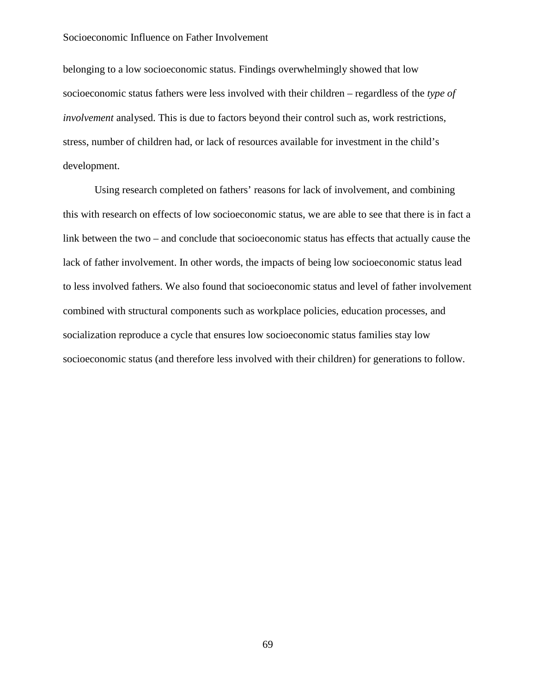belonging to a low socioeconomic status. Findings overwhelmingly showed that low socioeconomic status fathers were less involved with their children – regardless of the *type of involvement* analysed. This is due to factors beyond their control such as, work restrictions, stress, number of children had, or lack of resources available for investment in the child's development.

Using research completed on fathers' reasons for lack of involvement, and combining this with research on effects of low socioeconomic status, we are able to see that there is in fact a link between the two – and conclude that socioeconomic status has effects that actually cause the lack of father involvement. In other words, the impacts of being low socioeconomic status lead to less involved fathers. We also found that socioeconomic status and level of father involvement combined with structural components such as workplace policies, education processes, and socialization reproduce a cycle that ensures low socioeconomic status families stay low socioeconomic status (and therefore less involved with their children) for generations to follow.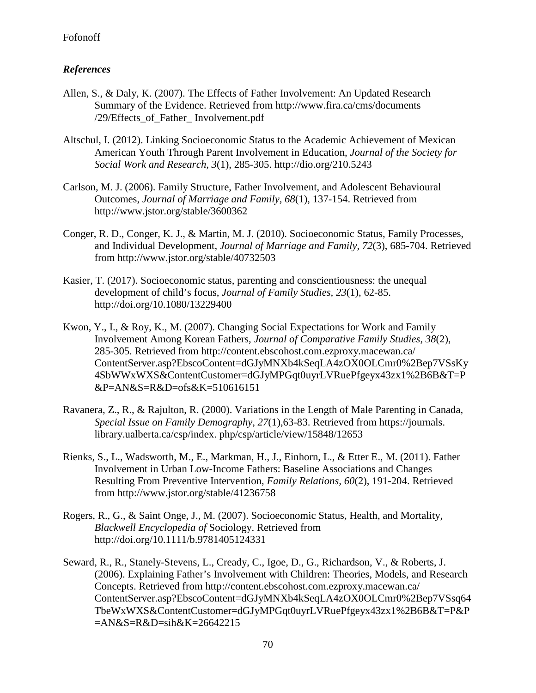# *References*

- Allen, S., & Daly, K. (2007). The Effects of Father Involvement: An Updated Research Summary of the Evidence. Retrieved from<http://www.fira.ca/cms/documents> /29/Effects\_of\_Father\_ Involvement.pdf
- Altschul, I. (2012). Linking Socioeconomic Status to the Academic Achievement of Mexican American Youth Through Parent Involvement in Education, *Journal of the Society for Social Work and Research, 3*(1), 285-305. http://dio.org/210.5243
- Carlson, M. J. (2006). Family Structure, Father Involvement, and Adolescent Behavioural Outcomes, *Journal of Marriage and Family, 68*(1), 137-154. Retrieved from http://www.jstor.org/stable/3600362
- Conger, R. D., Conger, K. J., & Martin, M. J. (2010). Socioeconomic Status, Family Processes, and Individual Development, *Journal of Marriage and Family, 72*(3), 685-704. Retrieved from http://www.jstor.org/stable/40732503
- Kasier, T. (2017). Socioeconomic status, parenting and conscientiousness: the unequal development of child's focus, *Journal of Family Studies, 23*(1), 62-85. http://doi.org/10.1080/13229400
- Kwon, Y., I., & Roy, K., M. (2007). Changing Social Expectations for Work and Family Involvement Among Korean Fathers, *Journal of Comparative Family Studies, 38*(2), 285-305. Retrieved from [http://content.ebscohost.com.ezproxy.macewan.ca/](http://content.ebscohost.com.ezproxy.macewan.ca/%20ContentServer.asp?EbscoContent=dGJyMNX)  [ContentServer.asp?EbscoContent=dGJyMNXb](http://content.ebscohost.com.ezproxy.macewan.ca/%20ContentServer.asp?EbscoContent=dGJyMNX)4kSeqLA4zOX0OLCmr0%2Bep7VSsKy 4SbWWxWXS&ContentCustomer=dGJyMPGqt0uyrLVRuePfgeyx43zx1%2B6B&T=P &P=AN&S=R&D=ofs&K=510616151
- Ravanera, Z., R., & Rajulton, R. (2000). Variations in the Length of Male Parenting in Canada, *Special Issue on Family Demography, 27*(1),63-83. Retrieved from https://journals. library.ualberta.ca/csp/index. php/csp/article/view/15848/12653
- Rienks, S., L., Wadsworth, M., E., Markman, H., J., Einhorn, L., & Etter E., M. (2011). Father Involvement in Urban Low-Income Fathers: Baseline Associations and Changes Resulting From Preventive Intervention, *Family Relations, 60*(2), 191-204. Retrieved from http://www.jstor.org/stable/41236758
- Rogers, R., G., & Saint Onge, J., M. (2007). Socioeconomic Status, Health, and Mortality, *Blackwell Encyclopedia of* Sociology. Retrieved from http://doi.org/10.1111/b.9781405124331
- Seward, R., R., Stanely-Stevens, L., Cready, C., Igoe, D., G., Richardson, V., & Roberts, J. (2006). Explaining Father's Involvement with Children: Theories, Models, and Research Concepts. Retrieved from [http://content.ebscohost.com.ezproxy.macewan.ca/](http://content.ebscohost.com.ezproxy.macewan.ca/%20ContentServer.asp)  [ContentServer.asp?](http://content.ebscohost.com.ezproxy.macewan.ca/%20ContentServer.asp)EbscoContent=dGJyMNXb4kSeqLA4zOX0OLCmr0%2Bep7VSsq64 TbeWxWXS&ContentCustomer=dGJyMPGqt0uyrLVRuePfgeyx43zx1%2B6B&T=P&P =AN&S=R&D=sih&K=26642215